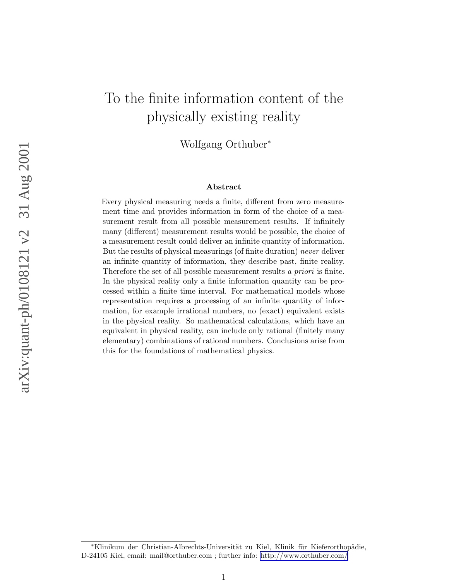# To the finite information content of the physically existing reality

Wolfgang Orthuber<sup>∗</sup>

#### Abstract

Every physical measuring needs a finite, different from zero measurement time and provides information in form of the choice of a measurement result from all possible measurement results. If infinitely many (different) measurement results would be possible, the choice of a measurement result could deliver an infinite quantity of information. But the results of physical measurings (of finite duration) never deliver an infinite quantity of information, they describe past, finite reality. Therefore the set of all possible measurement results a priori is finite. In the physical reality only a finite information quantity can be processed within a finite time interval. For mathematical models whose representation requires a processing of an infinite quantity of information, for example irrational numbers, no (exact) equivalent exists in the physical reality. So mathematical calculations, which have an equivalent in physical reality, can include only rational (finitely many elementary) combinations of rational numbers. Conclusions arise from this for the foundations of mathematical physics.

arXiv:quant-ph/0108121 v2 31 Aug 2001 arXiv:quant-ph/0108121 v2 31 Aug 2001

<sup>\*</sup>Klinikum der Christian-Albrechts-Universität zu Kiel, Klinik für Kieferorthopädie, D-24105 Kiel, email: mail@orthuber.com ; further info:<http://www.orthuber.com/>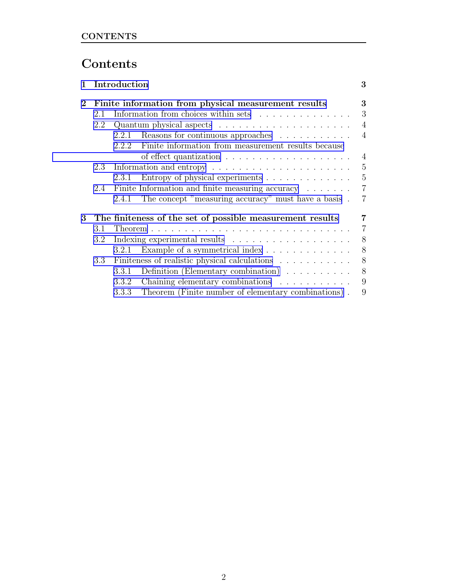# Contents

| 1        | Introduction<br>Finite information from physical measurement results |       |                                                                           | 3              |
|----------|----------------------------------------------------------------------|-------|---------------------------------------------------------------------------|----------------|
| $\bf{2}$ |                                                                      |       |                                                                           | 3              |
|          | 2.1                                                                  |       | Information from choices within sets                                      | 3              |
|          | 2.2                                                                  |       | Quantum physical aspects $\dots \dots \dots \dots \dots \dots \dots$      | $\overline{4}$ |
|          |                                                                      | 2.2.1 | Reasons for continuous approaches                                         | $\overline{4}$ |
|          |                                                                      | 222   | Finite information from measurement results because                       |                |
|          |                                                                      |       |                                                                           | $\overline{4}$ |
|          | 2.3                                                                  |       | Information and entropy $\dots \dots \dots \dots \dots \dots \dots \dots$ | 5              |
|          |                                                                      | 2.3.1 | Entropy of physical experiments                                           | $\overline{5}$ |
|          | 2.4                                                                  |       | Finite Information and finite measuring accuracy                          | $\overline{7}$ |
|          |                                                                      | 2.4.1 | The concept "measuring accuracy" must have a basis.                       | 7              |
| 3        |                                                                      |       | The finiteness of the set of possible measurement results                 | 7              |
|          | 3.1                                                                  |       |                                                                           | $\overline{7}$ |
|          | 3.2                                                                  |       |                                                                           |                |
|          |                                                                      | 3.2.1 | Example of a symmetrical index                                            | 8              |
|          | $3.3\phantom{0}$                                                     |       | Finiteness of realistic physical calculations                             |                |
|          |                                                                      | 3.3.1 | Definition (Elementary combination) $\ldots \ldots \ldots$                | 8              |
|          |                                                                      | 3.3.2 | Chaining elementary combinations                                          | 9              |
|          |                                                                      |       | 3.3.3 Theorem (Finite number of elementary combinations).                 | 9              |
|          |                                                                      |       |                                                                           |                |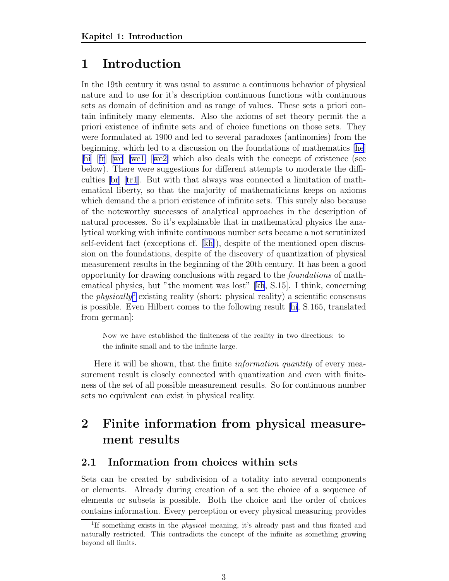# <span id="page-2-0"></span>1 Introduction

In the 19th century it was usual to assume a continuous behavior of physical nature and to use for it's description continuous functions with continuous sets as domain of definition and as range of values. These sets a priori contain infinitely many elements. Also the axioms of set theory permit the a priori existence of infinite sets and of choice functions on those sets. They were formulated at 1900 and led to several paradoxes (antinomies) from the beginning, which led to a discussion on the foundations of mathematics [\[he](#page-9-0)] [\[hi\]](#page-9-0) [[fr](#page-9-0)] [\[we](#page-10-0)] [\[we1\]](#page-10-0) [[we2\]](#page-10-0) which also deals with the concept of existence (see below). There were suggestions for different attempts to moderate the difficulties[[br\]](#page-9-0) [\[tr1](#page-10-0)]. But with that always was connected a limitation of mathematical liberty, so that the majority of mathematicians keeps on axioms which demand the a priori existence of infinite sets. This surely also because of the noteworthy successes of analytical approaches in the description of natural processes. So it's explainable that in mathematical physics the analytical working with infinite continuous number sets became a not scrutinized self-evident fact (exceptions cf. [\[kh\]](#page-9-0)), despite of the mentioned open discussion on the foundations, despite of the discovery of quantization of physical measurement results in the beginning of the 20th century. It has been a good opportunity for drawing conclusions with regard to the foundations of mathematical physics, but "the moment was lost"[[kh](#page-9-0), S.15]. I think, concerning the *physically*<sup>1</sup> existing reality (short: physical reality) a scientific consensus is possible. Even Hilbert comes to the following result [\[hi](#page-9-0), S.165, translated from german]:

Now we have established the finiteness of the reality in two directions: to the infinite small and to the infinite large.

Here it will be shown, that the finite *information quantity* of every measurement result is closely connected with quantization and even with finiteness of the set of all possible measurement results. So for continuous number sets no equivalent can exist in physical reality.

# 2 Finite information from physical measurement results

### 2.1 Information from choices within sets

Sets can be created by subdivision of a totality into several components or elements. Already during creation of a set the choice of a sequence of elements or subsets is possible. Both the choice and the order of choices contains information. Every perception or every physical measuring provides

<sup>&</sup>lt;sup>1</sup>If something exists in the *physical* meaning, it's already past and thus fixated and naturally restricted. This contradicts the concept of the infinite as something growing beyond all limits.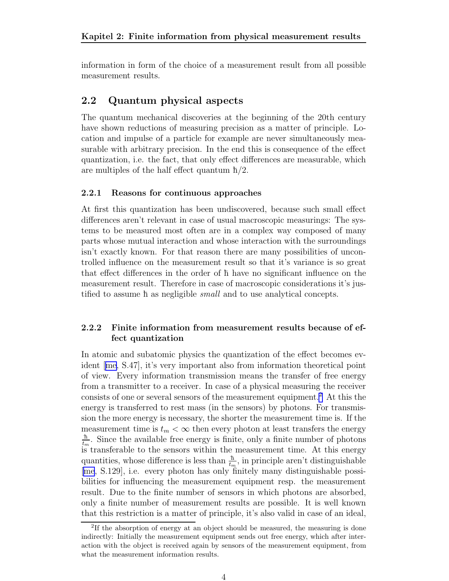<span id="page-3-0"></span>information in form of the choice of a measurement result from all possible measurement results.

## 2.2 Quantum physical aspects

The quantum mechanical discoveries at the beginning of the 20th century have shown reductions of measuring precision as a matter of principle. Location and impulse of a particle for example are never simultaneously measurable with arbitrary precision. In the end this is consequence of the effect quantization, i.e. the fact, that only effect differences are measurable, which are multiples of the half effect quantum  $\hbar/2$ .

#### 2.2.1 Reasons for continuous approaches

At first this quantization has been undiscovered, because such small effect differences aren't relevant in case of usual macroscopic measurings: The systems to be measured most often are in a complex way composed of many parts whose mutual interaction and whose interaction with the surroundings isn't exactly known. For that reason there are many possibilities of uncontrolled influence on the measurement result so that it's variance is so great that effect differences in the order of h<sup>−</sup> have no significant influence on the measurement result. Therefore in case of macroscopic considerations it's justified to assume h as negligible *small* and to use analytical concepts.

### 2.2.2 Finite information from measurement results because of effect quantization

In atomic and subatomic physics the quantization of the effect becomes evident[[me,](#page-9-0) S.47], it's very important also from information theoretical point of view. Every information transmission means the transfer of free energy from a transmitter to a receiver. In case of a physical measuring the receiver consists of one or several sensors of the measurement equipment.<sup>2</sup> At this the energy is transferred to rest mass (in the sensors) by photons. For transmission the more energy is necessary, the shorter the measurement time is. If the measurement time is  $t_m < \infty$  then every photon at least transfers the energy  $\hbar$  $\frac{\hbar}{t_m}$ . Since the available free energy is finite, only a finite number of photons is transferable to the sensors within the measurement time. At this energy quantities, whose difference is less than  $\frac{\hbar}{t_m}$  $\frac{\hbar}{t_m}$ , in principle aren't distinguishable [\[me](#page-9-0), S.129], i.e. every photon has only finitely many distinguishable possibilities for influencing the measurement equipment resp. the measurement result. Due to the finite number of sensors in which photons are absorbed, only a finite number of measurement results are possible. It is well known that this restriction is a matter of principle, it's also valid in case of an ideal,

<sup>&</sup>lt;sup>2</sup>If the absorption of energy at an object should be measured, the measuring is done indirectly: Initially the measurement equipment sends out free energy, which after interaction with the object is received again by sensors of the measurement equipment, from what the measurement information results.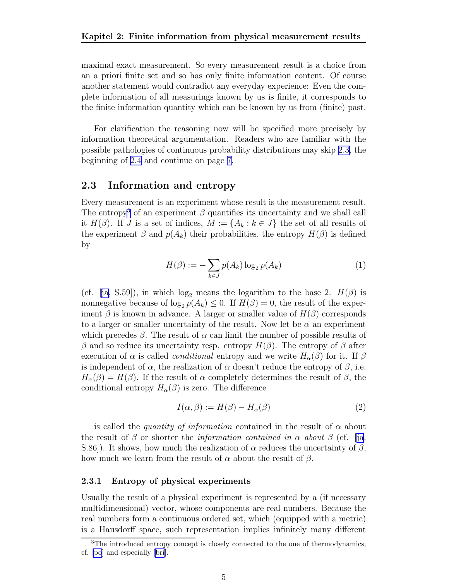<span id="page-4-0"></span>maximal exact measurement. So every measurement result is a choice from an a priori finite set and so has only finite information content. Of course another statement would contradict any everyday experience: Even the complete information of all measurings known by us is finite, it corresponds to the finite information quantity which can be known by us from (finite) past.

For clarification the reasoning now will be specified more precisely by information theoretical argumentation. Readers who are familiar with the possible pathologies of continuous probability distributions may skip 2.3, the beginning of [2.4](#page-6-0) and continue on page [7.](#page-6-0)

### 2.3 Information and entropy

Every measurement is an experiment whose result is the measurement result. The entropy<sup>3</sup> of an experiment  $\beta$  quantifies its uncertainty and we shall call it  $H(\beta)$ . If J is a set of indices,  $M := \{A_k : k \in J\}$  the set of all results of the experiment  $\beta$  and  $p(A_k)$  their probabilities, the entropy  $H(\beta)$  is defined by

$$
H(\beta) := -\sum_{k \in J} p(A_k) \log_2 p(A_k)
$$
 (1)

(cf.[[ja](#page-9-0), S.59]), in which  $log_2$  means the logarithm to the base 2.  $H(\beta)$  is nonnegative because of  $\log_2 p(A_k) \leq 0$ . If  $H(\beta) = 0$ , the result of the experiment  $\beta$  is known in advance. A larger or smaller value of  $H(\beta)$  corresponds to a larger or smaller uncertainty of the result. Now let be  $\alpha$  an experiment which precedes  $\beta$ . The result of  $\alpha$  can limit the number of possible results of β and so reduce its uncertainty resp. entropy  $H(β)$ . The entropy of β after execution of  $\alpha$  is called *conditional* entropy and we write  $H_{\alpha}(\beta)$  for it. If  $\beta$ is independent of  $\alpha$ , the realization of  $\alpha$  doesn't reduce the entropy of  $\beta$ , i.e.  $H_{\alpha}(\beta) = H(\beta)$ . If the result of  $\alpha$  completely determines the result of  $\beta$ , the conditional entropy  $H_{\alpha}(\beta)$  is zero. The difference

$$
I(\alpha, \beta) := H(\beta) - H_{\alpha}(\beta) \tag{2}
$$

is called the *quantity of information* contained in the result of  $\alpha$  about theresult of  $\beta$  or shorter the *information contained in*  $\alpha$  *about*  $\beta$  (cf. [[ja](#page-9-0), S.86]). It shows, how much the realization of  $\alpha$  reduces the uncertainty of  $\beta$ , how much we learn from the result of  $\alpha$  about the result of  $\beta$ .

#### 2.3.1 Entropy of physical experiments

Usually the result of a physical experiment is represented by a (if necessary multidimensional) vector, whose components are real numbers. Because the real numbers form a continuous ordered set, which (equipped with a metric) is a Hausdorff space, such representation implies infinitely many different

<sup>&</sup>lt;sup>3</sup>The introduced entropy concept is closely connected to the one of thermodynamics, cf. [\[po](#page-10-0)] and especially [\[bri](#page-9-0)].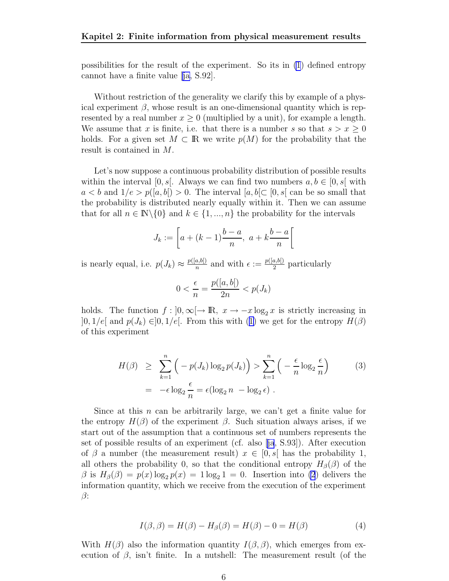<span id="page-5-0"></span>possibilities for the result of the experiment. So its in [\(1](#page-4-0)) defined entropy cannot have a finite value [\[ja,](#page-9-0) S.92].

Without restriction of the generality we clarify this by example of a physical experiment  $\beta$ , whose result is an one-dimensional quantity which is represented by a real number  $x \geq 0$  (multiplied by a unit), for example a length. We assume that x is finite, i.e. that there is a number s so that  $s > x \geq 0$ holds. For a given set  $M \subset \mathbb{R}$  we write  $p(M)$  for the probability that the result is contained in M.

Let's now suppose a continuous probability distribution of possible results within the interval  $[0, s]$ . Always we can find two numbers  $a, b \in [0, s]$  with  $a < b$  and  $1/e > p([a, b]) > 0$ . The interval  $[a, b] \subset [0, s]$  can be so small that the probability is distributed nearly equally within it. Then we can assume that for all  $n \in \mathbb{N} \backslash \{0\}$  and  $k \in \{1, ..., n\}$  the probability for the intervals

$$
J_k := \left[ a + (k-1)\frac{b-a}{n}, \ a + k\frac{b-a}{n} \right[
$$

is nearly equal, i.e.  $p(J_k) \approx \frac{p([a,b])}{n}$  $\frac{a,b[)}{n}$  and with  $\epsilon := \frac{p([a,b])}{2}$  $rac{a, b)}{2}$  particularly

$$
0 < \frac{\epsilon}{n} = \frac{p([a, b])}{2n} < p(J_k)
$$

holds. The function  $f : [0, \infty) \to \mathbb{R}$ ,  $x \to -x \log_2 x$  is strictly increasing in  $]0, 1/e[$  and  $p(J_k) \in ]0, 1/e[$ . From this with ([1\)](#page-4-0) we get for the entropy  $H(\beta)$ of this experiment

$$
H(\beta) \geq \sum_{k=1}^{n} \left( -p(J_k) \log_2 p(J_k) \right) > \sum_{k=1}^{n} \left( -\frac{\epsilon}{n} \log_2 \frac{\epsilon}{n} \right) \tag{3}
$$

$$
= -\epsilon \log_2 \frac{\epsilon}{n} = \epsilon (\log_2 n - \log_2 \epsilon) .
$$

Since at this  $n$  can be arbitrarily large, we can't get a finite value for the entropy  $H(\beta)$  of the experiment  $\beta$ . Such situation always arises, if we start out of the assumption that a continuous set of numbers represents the set of possible results of an experiment (cf. also[[ja](#page-9-0), S.93]). After execution of  $\beta$  a number (the measurement result)  $x \in [0, s]$  has the probability 1, all others the probability 0, so that the conditional entropy  $H_{\beta}(\beta)$  of the  $\beta$  is  $H_{\beta}(\beta) = p(x) \log_2 p(x) = 1 \log_2 1 = 0$ . Insertion into [\(2](#page-4-0)) delivers the information quantity, which we receive from the execution of the experiment  $\beta$ :

$$
I(\beta, \beta) = H(\beta) - H_{\beta}(\beta) = H(\beta) - 0 = H(\beta)
$$
\n(4)

With  $H(\beta)$  also the information quantity  $I(\beta, \beta)$ , which emerges from execution of  $\beta$ , isn't finite. In a nutshell: The measurement result (of the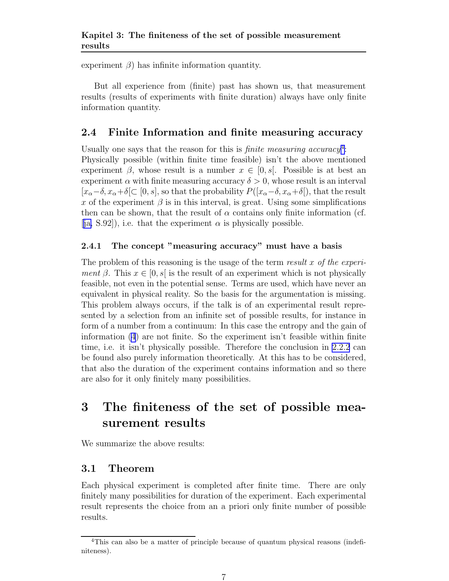<span id="page-6-0"></span>experiment  $\beta$ ) has infinite information quantity.

But all experience from (finite) past has shown us, that measurement results (results of experiments with finite duration) always have only finite information quantity.

# 2.4 Finite Information and finite measuring accuracy

Usually one says that the reason for this is *finite measuring accuracy*<sup>4</sup>: Physically possible (within finite time feasible) isn't the above mentioned experiment  $\beta$ , whose result is a number  $x \in [0, s]$ . Possible is at best an experiment  $\alpha$  with finite measuring accuracy  $\delta > 0$ , whose result is an interval  $[x_\alpha-\delta, x_\alpha+\delta] \subset [0, s]$ , so that the probability  $P([x_\alpha-\delta, x_\alpha+\delta])$ , that the result x of the experiment  $\beta$  is in this interval, is great. Using some simplifications then can be shown, that the result of  $\alpha$  contains only finite information (cf. [\[ja,](#page-9-0) S.92]), i.e. that the experiment  $\alpha$  is physically possible.

## 2.4.1 The concept "measuring accuracy" must have a basis

The problem of this reasoning is the usage of the term result x of the experiment  $\beta$ . This  $x \in [0, s]$  is the result of an experiment which is not physically feasible, not even in the potential sense. Terms are used, which have never an equivalent in physical reality. So the basis for the argumentation is missing. This problem always occurs, if the talk is of an experimental result represented by a selection from an infinite set of possible results, for instance in form of a number from a continuum: In this case the entropy and the gain of information [\(4](#page-5-0)) are not finite. So the experiment isn't feasible within finite time, i.e. it isn't physically possible. Therefore the conclusion in [2.2.2](#page-3-0) can be found also purely information theoretically. At this has to be considered, that also the duration of the experiment contains information and so there are also for it only finitely many possibilities.

# 3 The finiteness of the set of possible measurement results

We summarize the above results:

# 3.1 Theorem

Each physical experiment is completed after finite time. There are only finitely many possibilities for duration of the experiment. Each experimental result represents the choice from an a priori only finite number of possible results.

<sup>&</sup>lt;sup>4</sup>This can also be a matter of principle because of quantum physical reasons (indefiniteness).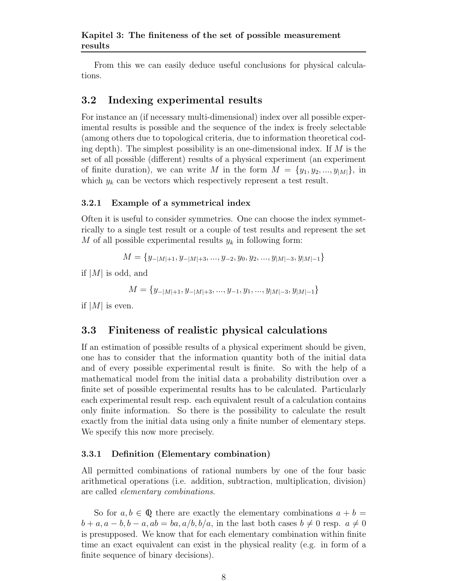### <span id="page-7-0"></span>Kapitel 3: The finiteness of the set of possible measurement results

From this we can easily deduce useful conclusions for physical calculations.

## 3.2 Indexing experimental results

For instance an (if necessary multi-dimensional) index over all possible experimental results is possible and the sequence of the index is freely selectable (among others due to topological criteria, due to information theoretical coding depth). The simplest possibility is an one-dimensional index. If  $M$  is the set of all possible (different) results of a physical experiment (an experiment of finite duration), we can write M in the form  $M = \{y_1, y_2, ..., y_{|M|}\}\$ , in which  $y_k$  can be vectors which respectively represent a test result.

#### 3.2.1 Example of a symmetrical index

Often it is useful to consider symmetries. One can choose the index symmetrically to a single test result or a couple of test results and represent the set M of all possible experimental results  $y_k$  in following form:

$$
M = \{y_{-|M|+1}, y_{-|M|+3}, \dots, y_{-2}, y_0, y_2, \dots, y_{|M|-3}, y_{|M|-1}\}
$$

if  $|M|$  is odd, and

$$
M = \{y_{-|M|+1}, y_{-|M|+3}, ..., y_{-1}, y_1, ..., y_{|M|-3}, y_{|M|-1}\}
$$

if  $|M|$  is even.

## 3.3 Finiteness of realistic physical calculations

If an estimation of possible results of a physical experiment should be given, one has to consider that the information quantity both of the initial data and of every possible experimental result is finite. So with the help of a mathematical model from the initial data a probability distribution over a finite set of possible experimental results has to be calculated. Particularly each experimental result resp. each equivalent result of a calculation contains only finite information. So there is the possibility to calculate the result exactly from the initial data using only a finite number of elementary steps. We specify this now more precisely.

#### 3.3.1 Definition (Elementary combination)

All permitted combinations of rational numbers by one of the four basic arithmetical operations (i.e. addition, subtraction, multiplication, division) are called elementary combinations.

So for  $a, b \in \mathbb{Q}$  there are exactly the elementary combinations  $a + b =$  $b + a, a - b, b - a, ab = ba, a/b, b/a$ , in the last both cases  $b \neq 0$  resp.  $a \neq 0$ is presupposed. We know that for each elementary combination within finite time an exact equivalent can exist in the physical reality (e.g. in form of a finite sequence of binary decisions).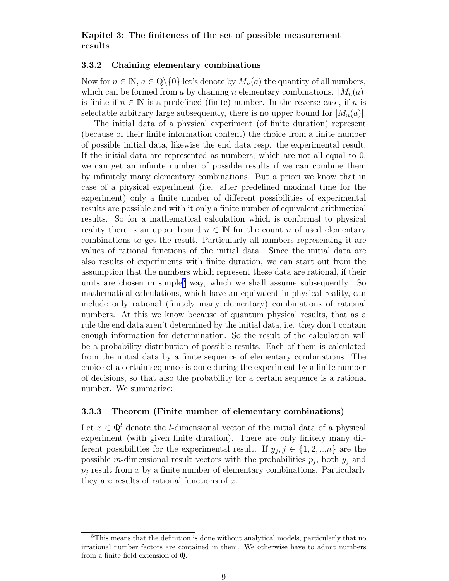#### <span id="page-8-0"></span>3.3.2 Chaining elementary combinations

Now for  $n \in \mathbb{N}$ ,  $a \in \mathbb{Q}\backslash\{0\}$  let's denote by  $M_n(a)$  the quantity of all numbers, which can be formed from a by chaining n elementary combinations.  $|M_n(a)|$ is finite if  $n \in \mathbb{N}$  is a predefined (finite) number. In the reverse case, if n is selectable arbitrary large subsequently, there is no upper bound for  $|M_n(a)|$ .

The initial data of a physical experiment (of finite duration) represent (because of their finite information content) the choice from a finite number of possible initial data, likewise the end data resp. the experimental result. If the initial data are represented as numbers, which are not all equal to 0, we can get an infinite number of possible results if we can combine them by infinitely many elementary combinations. But a priori we know that in case of a physical experiment (i.e. after predefined maximal time for the experiment) only a finite number of different possibilities of experimental results are possible and with it only a finite number of equivalent arithmetical results. So for a mathematical calculation which is conformal to physical reality there is an upper bound  $\tilde{n} \in \mathbb{N}$  for the count n of used elementary combinations to get the result. Particularly all numbers representing it are values of rational functions of the initial data. Since the initial data are also results of experiments with finite duration, we can start out from the assumption that the numbers which represent these data are rational, if their units are chosen in simple<sup>5</sup> way, which we shall assume subsequently. So mathematical calculations, which have an equivalent in physical reality, can include only rational (finitely many elementary) combinations of rational numbers. At this we know because of quantum physical results, that as a rule the end data aren't determined by the initial data, i.e. they don't contain enough information for determination. So the result of the calculation will be a probability distribution of possible results. Each of them is calculated from the initial data by a finite sequence of elementary combinations. The choice of a certain sequence is done during the experiment by a finite number of decisions, so that also the probability for a certain sequence is a rational number. We summarize:

### 3.3.3 Theorem (Finite number of elementary combinations)

Let  $x \in \mathbb{Q}^l$  denote the *l*-dimensional vector of the initial data of a physical experiment (with given finite duration). There are only finitely many different possibilities for the experimental result. If  $y_j, j \in \{1, 2, ... n\}$  are the possible m-dimensional result vectors with the probabilities  $p_j$ , both  $y_j$  and  $p_i$  result from x by a finite number of elementary combinations. Particularly they are results of rational functions of  $x$ .

<sup>&</sup>lt;sup>5</sup>This means that the definition is done without analytical models, particularly that no irrational number factors are contained in them. We otherwise have to admit numbers from a finite field extension of Q.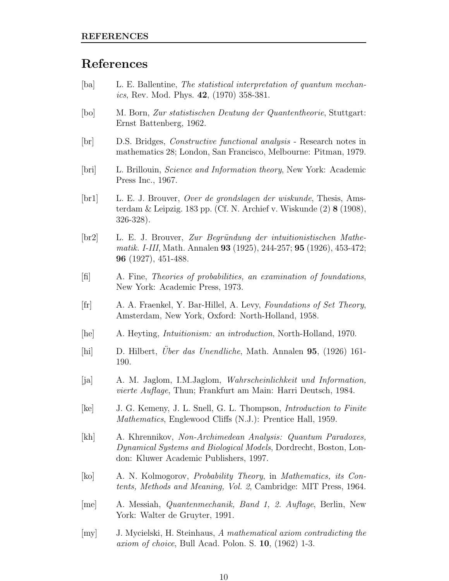# <span id="page-9-0"></span>References

- [ba] L. E. Ballentine, The statistical interpretation of quantum mechan*ics*, Rev. Mod. Phys.  $42$ ,  $(1970)$  358-381.
- [bo] M. Born, Zur statistischen Deutung der Quantentheorie, Stuttgart: Ernst Battenberg, 1962.
- [br] D.S. Bridges, Constructive functional analysis Research notes in mathematics 28; London, San Francisco, Melbourne: Pitman, 1979.
- [bri] L. Brillouin, Science and Information theory, New York: Academic Press Inc., 1967.
- [br1] L. E. J. Brouver, Over de grondslagen der wiskunde, Thesis, Amsterdam & Leipzig. 183 pp. (Cf. N. Archief v. Wiskunde (2) 8 (1908), 326-328).
- [br2] L. E. J. Brouver, Zur Begr¨undung der intuitionistischen Mathematik. I-III, Math. Annalen 93 (1925), 244-257; 95 (1926), 453-472; 96 (1927), 451-488.
- [fi] A. Fine, Theories of probabilities, an examination of foundations, New York: Academic Press, 1973.
- [fr] A. A. Fraenkel, Y. Bar-Hillel, A. Levy, Foundations of Set Theory, Amsterdam, New York, Oxford: North-Holland, 1958.
- [he] A. Heyting, Intuitionism: an introduction, North-Holland, 1970.
- [hi] D. Hilbert, *Uber das Unendliche*, Math. Annalen 95, (1926) 161-190.
- [ja] A. M. Jaglom, I.M.Jaglom, Wahrscheinlichkeit und Information, vierte Auflage, Thun; Frankfurt am Main: Harri Deutsch, 1984.
- [ke] J. G. Kemeny, J. L. Snell, G. L. Thompson, Introduction to Finite Mathematics, Englewood Cliffs (N.J.): Prentice Hall, 1959.
- [kh] A. Khrennikov, Non-Archimedean Analysis: Quantum Paradoxes, Dynamical Systems and Biological Models, Dordrecht, Boston, London: Kluwer Academic Publishers, 1997.
- [ko] A. N. Kolmogorov, Probability Theory, in Mathematics, its Contents, Methods and Meaning, Vol. 2, Cambridge: MIT Press, 1964.
- [me] A. Messiah, Quantenmechanik, Band 1, 2. Auflage, Berlin, New York: Walter de Gruyter, 1991.
- [my] J. Mycielski, H. Steinhaus, A mathematical axiom contradicting the axiom of choice, Bull Acad. Polon. S. 10, (1962) 1-3.